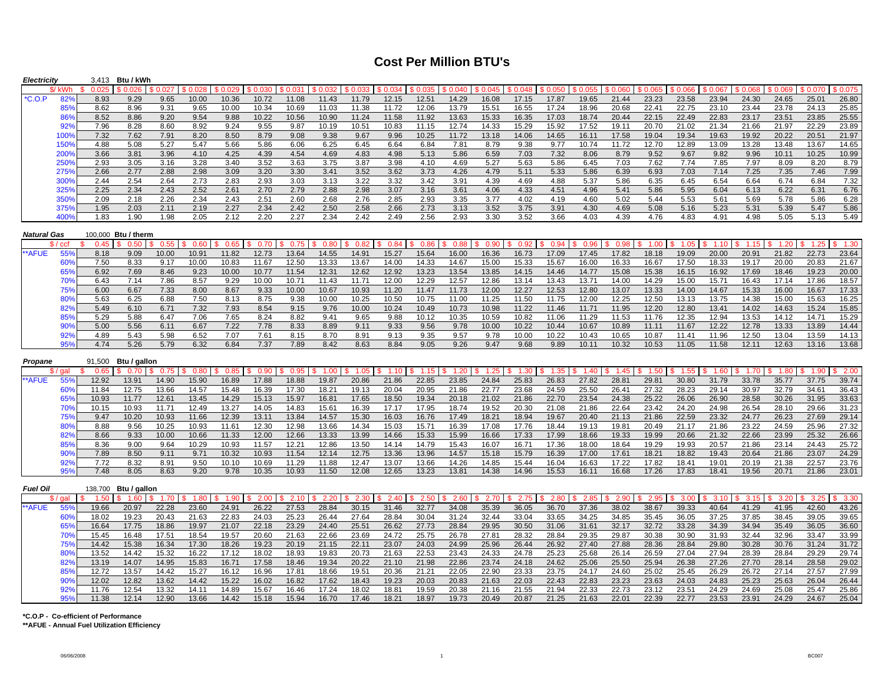## **Cost Per Million BTU's**

| Electricity                               |            |                | 3,413 Btu / kWh      |                |                   |                |                 |                      |                   |                      |                |                |                |                |                |                   |                |                   |                |                |                |                |                 |                |                |
|-------------------------------------------|------------|----------------|----------------------|----------------|-------------------|----------------|-----------------|----------------------|-------------------|----------------------|----------------|----------------|----------------|----------------|----------------|-------------------|----------------|-------------------|----------------|----------------|----------------|----------------|-----------------|----------------|----------------|
|                                           | \$/ kWh    | 0.025          | \$0.026              | \$0.027        | $$0.028$ $$0.029$ |                | \$0.030 \$0.031 |                      | $$0.032$ $$0.033$ |                      |                |                | \$0.040        | \$0.045        | \$0.048        | $$0.050$ $$0.055$ |                | $$0.060$ \$ 0.065 |                | \$0.066        | \$0.067        | \$0.068        | \$0.069 \$0.070 |                | \$0.075        |
| $*C.O.P$                                  | 82%        | 8.93           | 9.29                 | 9.65           | 10.00             | 10.36          | 10.72           | 11.08                | 11.43             | 11.79                | 12.15          | 12.51          | 14.29          | 16.08          | 17.15          | 17.87             | 19.65          | 21.44             | 23.23          | 23.58          | 23.94          | 24.30          | 24.65           | 25.01          | 26.80          |
|                                           | 85%        | 8.62           | 8.96                 | 9.31           | 9.65              | 10.00          | 10.34           | 10.69                | 11.03             | 11.38                | 11.72          | 12.06          | 13.79          | 15.51          | 16.55          | 17.24             | 18.96          | 20.68             | 22.41          | 22.75          | 23.10          | 23.44          | 23.78           | 24.13          | 25.85          |
|                                           | 86%        | 8.52           | 8.86                 | 9.20           | 9.54              | 9.88           | 10.22           | 10.56                | 10.90             | 11.24                | 11.58          | 11.92          | 13.63          | 15.33          | 16.35          | 17.03             | 18.74          | 20.44             | 22.15          | 22.49          | 22.83          | 23.17          | 23.51           | 23.85          | 25.55          |
|                                           | 92%        | 7.96           | 8.28                 | 8.60           | 8.92              | 9.24           | 9.55            | 9.87                 | 10.19             | 10.51                | 10.83          | 11.15          | 12.74          | 14.33          | 15.29          | 15.92             | 17.52          | 19.11             | 20.70          | 21.02          | 21.34          | 21.66          | 21.97           | 22.29          | 23.89          |
|                                           | 100%       | 7.32           | 7.62                 | 7.91           | 8.20              | 8.50           | 8.79            | 9.08                 | 9.38              | 9.67                 | 9.96           | 10.25          | 11.72          | 13.18          | 14.06          | 14.65             | 16.11          | 17.58             | 19.04          | 19.34          | 19.63          | 19.92          | 20.22           | 20.51          | 21.97          |
|                                           | 150%       | 4.88           | 5.08                 | 5.27           | 5.47              | 5.66           | 5.86            | 6.06                 | 6.25              | 6.45                 | 6.64           | 6.84           | 7.81           | 8.79           | 9.38           | 9.77              | 10.74          | 11.72             | 12.70          | 12.89          | 13.09          | 13.28          | 13.48           | 13.67          | 14.65          |
|                                           | 200%       | 3.66           | 3.81                 | 3.96           | 4.10              | 4.25           | 4.39            | 4.54                 | 4.69              | 4.83                 | 4.98           | 5.13           | 5.86           | 6.59           | 7.03           | 7.32              | 8.06           | 8.79              | 9.52           | 9.67           | 9.82           | 9.96           | 10.11           | 10.25          | 10.99          |
|                                           | 250%       | 2.93           | 3.05                 | 3.16           | 3.28              | 3.40           | 3.52            | 3.63                 | 3.75              | 3.87                 | 3.98           | 4.10           | 4.69           | 5.27           | 5.63           | 5.86              | 6.45           | 7.03              | 7.62           | 7.74           | 7.85           | 7.97           | 8.09            | 8.20           | 8.79           |
|                                           | 275%       | 2.66           | 2.77                 | 2.88           | 2.98              | 3.09           | 3.20            | 3.30                 | 3.41              | 3.52                 | 3.62           | 3.73           | 4.26           | 4.79           | 5.11           | 5.33              | 5.86           | 6.39              | 6.93           | 7.03           | 7.14           | 7.25           | 7.35            | 7.46           | 7.99           |
|                                           | 300%       | 2.44           | 2.54                 | 2.64           | 2.73              | 2.83           | 2.93            | 3.03                 | 3.13              | 3.22                 | 3.32           | 3.42           | 3.91           | 4.39           | 4.69           | 4.88              | 5.37           | 5.86              | 6.35           | 6.45           | 6.54           | 6.64           | 6.74            | 6.84           | 7.32           |
|                                           | 325%       | 2.25           | 2.34                 | 2.43           | 2.52              | 2.61           | 2.70            | 2.79                 | 2.88              | 2.98                 | 3.07           | 3.16           | 3.61           | 4.06           | 4.33           | 4.51              | 4.96           | 5.41              | 5.86           | 5.95           | 6.04           | 6.13           | 6.22            | 6.31           | 6.76           |
|                                           | 350%       | 2.09           | 2.18                 | 2.26           | 2.34              | 2.43           | 2.51            | 2.60                 | 2.68              | 2.76                 | 2.85           | 2.93           | 3.35           | 3.77           | 4.02           | 4.19              | 4.60           | 5.02              | 5.44           | 5.53           | 5.61           | 5.69           | 5.78            | 5.86           | 6.28           |
|                                           | 375%       | 1.95           | 2.03                 | 2.11           | 2.19              | 2.27           | 2.34            | 2.42                 | 2.50              | 2.58                 | 2.66           | 2.73           | 3.13           |                | 3.75           |                   | 4.30           | 4.69              | 5.08           | 5.16           | 5.23           | 5.31           | 5.39            | 5.47           | 5.86           |
|                                           | 400%       | 1.83           | 1.90                 | 1.98           | 2.05              | 2.12           | 2.20            | 2.27                 | 2.34              | 2.42                 | 2.49           | 2.56           | 2.93           | 3.52<br>3.30   | 3.52           | 3.91<br>3.66      | 4.03           | 4.39              | 4.76           | 4.83           | 4.91           | 4.98           | 5.05            | 5.13           | 5.49           |
|                                           |            |                |                      |                |                   |                |                 |                      |                   |                      |                |                |                |                |                |                   |                |                   |                |                |                |                |                 |                |                |
| <b>Natural Gas</b><br>100,000 Btu / therm |            |                |                      |                |                   |                |                 |                      |                   |                      |                |                |                |                |                |                   |                |                   |                |                |                |                |                 |                |                |
|                                           |            | 0.45           | 0.50                 |                | 0.60              | 0.65           | \$<br>0.70      | 0.75<br>$\mathbf{R}$ | 0.80              | 0.82                 | 0.84           | 0.86           | 0.88           | 0.90           | 0.92           | 0.94              | 0.96           | 0.98              | 1.00           | 1.05           | 1.10           | 1.15           | 1.20            | 1.25           | 1.30           |
|                                           | \$ / ccl   |                |                      | 0.55           |                   |                |                 |                      |                   |                      |                |                |                |                |                |                   |                |                   |                |                |                |                |                 |                |                |
| **AFUE                                    | 55%        | 8.18           | 9.09                 | 10.00          | 10.91             | 11.82          | 12.73           | 13.64                | 14.55             | 14.91                | 15.27          | 15.64          | 16.00          | 16.36          | 16.73          | 17.09             | 17.45          | 17.82             | 18.18          | 19.09          | 20.00          | 20.91          | 21.82           | 22.73          | 23.64          |
|                                           | 60%        | 7.50           | 8.33                 | 9.17           | 10.00             | 10.83          | 11.67           | 12.50                | 13.33             | 13.67                | 14.00          | 14.33          | 14.67          | 15.00          | 15.33          | 15.67             | 16.00          | 16.33             | 16.67          | 17.50          | 18.33          | 19.17          | 20.00           | 20.83          | 21.67          |
|                                           | 65%        | 6.92           | 7.69                 | 8.46           | 9.23              | 10.00          | 10.77           | 11.54                | 12.31             | 12.62                | 12.92          | 13.23          | 13.54          | 13.85          | 14.15          | 14.46             | 14.77          | 15.08             | 15.38          | 16.15          | 16.92          | 17.69          | 18.46           | 19.23          | 20.00          |
|                                           | 70%        | 6.43           | 7.14                 | 7.86           | 8.57              | 9.29           | 10.00           | 10.71                | 11.43             | 11.71                | 12.00          | 12.29          | 12.57          | 12.86          | 13.14          | 13.43             | 13.71          | 14.00             | 14.29          | 15.00          | 15.71          | 16.43          | 17.14           | 17.86          | 18.57          |
|                                           | 75%        | 6.00           | 6.67                 | 7.33           | 8.00              | 8.67           | 9.33            | 10.00                | 10.67             | 10.93                | 11.20          | 11.47          | 11.73          | 12.00          | 12.27          | 12.53             | 12.80          | 13.07             | 13.33          | 14.00          | 14.67          | 15.33          | 16.00           | 16.67          | 17.33          |
|                                           | 80%        | 5.63           | 6.25                 | 6.88           | 7.50              | 8.13           | 8.75            | 9.38                 | 10.00             | 10.25                | 10.50          | 10.75          | 11.00          | 11.25          | 11.50          | 11.75             | 12.00          | 12.25             | 12.50          | 13.13          | 13.75          | 14.38          | 15.00           | 15.63          | 16.25          |
|                                           | 82%        | 5.49           | 6.10                 | 6.71           | 7.32              | 7.93           | 8.54            | 9.15                 | 9.76              | 10.00                | 10.24          | 10.49          | 10.73          | 10.98          | 11.22          | 11.46             | 11.71          | 11.95             | 12.20          | 12.80          | 13.41          | 14.02          | 14.63           | 15.24          | 15.85          |
|                                           | 85%        | 5.29           | 5.88                 | 6.47           | 7.06              | 7.65           | 8.24            | 8.82                 | 9.41              | 9.65                 | 9.88           | 10.12          | 10.35          | 10.59          | 10.82          | 11.06             | 11.29          | 11.53             | 11.76          | 12.35          | 12.94          | 13.53          | 14.12           | 14.71          | 15.29          |
|                                           | 90%        | 5.00           | 5.56                 | 6.11           | 6.67              | 7.22           | 7.78            | 8.33                 | 8.89              | 9.11                 | 9.33           | 9.56           | 9.78           | 10.00          | 10.22          | 10.44             | 10.67          | 10.89             | 11.11          | 11.67          | 12.22          | 12.78          | 13.33           | 13.89          | 14.44          |
|                                           | 92%        | 4.89           | 5.43                 | 5.98           | 6.52              | 7.07           | 7.61            | 8.15                 | 8.70              | 8.91                 | 9.13           | 9.35           | 9.57           | 9.78           | 10.00          | 10.22             | 10.43          | 10.65             | 10.87          | 11.41          | 11.96          | 12.50          | 13.04           | 13.59          | 14.13          |
|                                           | 95%        | 4.74           | 5.26                 | 5.79           | 6.32              | 6.84           | 7.37            | 7.89                 | 8.42              | 8.63                 | 8.84           | 9.05           | 9.26           | 9.47           | 9.68           | 9.89              | 10.11          | 10.32             | 10.53          | 11.05          | 11.58          | 12.11          | 12.63           | 13.16          | 13.68          |
|                                           |            |                |                      |                |                   |                |                 |                      |                   |                      |                |                |                |                |                |                   |                |                   |                |                |                |                |                 |                |                |
| Propane                                   |            |                | 91,500 Btu / gallon  |                |                   |                |                 |                      |                   |                      |                |                |                |                |                |                   |                |                   |                |                |                |                |                 |                |                |
|                                           | \$/gal     | 0.65           | 0.70                 | 0.75           | \$0.80            | 0.85           | 0.90            | 0.95                 | 1.00              | 1.05<br>$\mathbf{S}$ | 1.10           | 1.15<br>S.     | 1.20           | 1.25           | 1.30<br>£.     | 1.35              | \$1.40         | 1.45              | 1.50           | 1.55           | 1.60           | 1.70           | 1.80S           | 1.90           | \$2.00         |
| **AFUE                                    | 55%        | 12.92          | 13.91                | 14.90          | 15.90             | 16.89          | 17.88           | 18.88                | 19.87             | 20.86                | 21.86          | 22.85          | 23.85          | 24.84          | 25.83          | 26.83             | 27.82          | 28.81             | 29.81          | 30.80          | 31.79          | 33.78          | 35.77           | 37.75          | 39.74          |
|                                           | 60%        | 11.84          | 12.75                | 13.66          | 14.57             | 15.48          | 16.39           | 17.30                | 18.21             | 19.13                | 20.04          | 20.95          | 21.86          | 22.77          | 23.68          | 24.59             | 25.50          | 26.41             | 27.32          | 28.23          | 29.14          | 30.97          | 32.79           | 34.61          | 36.43          |
|                                           | 65%        | 10.93          | 11.77                | 12.61          | 13.45             | 14.29          | 15.13           | 15.97                | 16.81             | 17.65                | 18.50          | 19.34          | 20.18          | 21.02          | 21.86          | 22.70             | 23.54          | 24.38             | 25.22          | 26.06          | 26.90          | 28.58          | 30.26           | 31.95          | 33.63          |
|                                           | 70%        | 10.15          | 10.93                | 11.71          | 12.49             | 13.27          | 14.05           | 14.83                | 15.61             | 16.39                | 17.17          | 17.95          | 18.74          | 19.52          | 20.30          | 21.08             | 21.86          | 22.64             | 23.42          | 24.20          | 24.98          | 26.54          | 28.10           | 29.66          | 31.23          |
|                                           | 75%        | 9.47           | 10.20                | 10.93          | 11.66             | 12.39          | 13.11           | 13.84                | 14.57             | 15.30                | 16.03          | 16.76          | 17.49          | 18.21          | 18.94          | 19.67             | 20.40          | 21.13             | 21.86          | 22.59          | 23.32          | 24.77          | 26.23           | 27.69          | 29.14          |
|                                           | 80%        | 8.88           | 9.56                 | 10.25          | 10.93             | 11.61          | 12.30           | 12.98                | 13.66             | 14.34                | 15.03          | 15.71          | 16.39          | 17.08          | 17.76          | 18.44             | 19.13          | 19.81             | 20.49          | 21.17          | 21.86          | 23.22          | 24.59           | 25.96          | 27.32          |
|                                           | 82%        | 8.66           | 9.33                 | 10.00          | 10.66             | 11.33          | 12.00           | 12.66                | 13.33             | 13.99                | 14.66          | 15.33          | 15.99          | 16.66          | 17.33          | 17.99             | 18.66          | 19.33             | 19.99          | 20.66          | 21.32          | 22.66          | 23.99           | 25.32          | 26.66          |
|                                           | 85%        | 8.36           | 9.00                 | 9.64           | 10.29             | 10.93          | 11.57           | 12.21                | 12.86             | 13.50                | 14.14          | 14.79          | 15.43          | 16.07          | 16.71          | 17.36             | 18.00          | 18.64             | 19.29          | 19.93          | 20.57          | 21.86          | 23.14           | 24.43          | 25.72          |
|                                           | 90%        | 7.89           | 8.50                 | 9.11           | 9.71              | 10.32          | 10.93           | 11.54                | 12.14             | 12.75                | 13.36          | 13.96          | 14.57          | 15.18          | 15.79          | 16.39             | 17.00          | 17.61             | 18.21          | 18.82          | 19.43          | 20.64          | 21.86           | 23.07          | 24.29          |
|                                           | 92%        | 7.72           | 8.32                 | 8.91           | 9.50              | 10.10          | 10.69           | 11.29                | 11.88             | 12.47                | 13.07          | 13.66          | 14.26          | 14.85          | 15.44          | 16.04             | 16.63          | 17.22             | 17.82          | 18.41          | 19.01          | 20.19          | 21.38           | 22.57          | 23.76          |
|                                           | 95%        | 7.48           | 8.05                 | 8.63           | 9.20              | 9.78           | 10.35           | 10.93                | 11.50             | 12.08                | 12.65          | 13.23          | 13.81          | 14.38          | 14.96          | 15.53             | 16.11          | 16.68             | 17.26          | 17.83          | 18.41          | 19.56          | 20.71           | 21.86          | 23.01          |
|                                           |            |                |                      |                |                   |                |                 |                      |                   |                      |                |                |                |                |                |                   |                |                   |                |                |                |                |                 |                |                |
| <b>Fuel Oil</b>                           |            |                | 138,700 Btu / gallon |                |                   |                |                 |                      |                   |                      |                |                |                |                |                |                   |                |                   |                |                |                |                |                 |                |                |
|                                           | \$/gal     | 1.50           | \$1.60               | \$1.70         | \$1.80            | \$1.90         | \$2.00          | \$2.10               | \$2.20            | \$2.30               | \$2.40         | \$2.50         | \$2.60         | \$2.70         | \$2.75         | \$2.80            | \$2.85         | \$2.90            | 2.95           | 3.00           | \$3.10         | \$3.15         | \$3.20          | \$3.25         | \$3.30         |
| **AFUE                                    | 55%        | 19.66          | 20.97                | 22.28          | 23.60             | 24.91          | 26.22           | 27.53                | 28.84             | 30.15                | 31.46          | 32.77          | 34.08          | 35.39          | 36.05          | 36.70             | 37.36          | 38.02             | 38.67          | 39.33          | 40.64          | 41.29          | 41.95           | 42.60          | 43.26          |
|                                           | 60%        | 18.02          | 19.23                | 20.43          | 21.63             | 22.83          | 24.03           | 25.23                | 26.44             | 27.64                | 28.84          | 30.04          | 31.24          | 32.44          | 33.04          | 33.65             | 34.25          | 34.85             | 35.45          | 36.05          | 37.25          | 37.85          | 38.45           | 39.05          | 39.65          |
|                                           | 65%        | 16.64          | 17.75                | 18.86          | 19.97             | 21.07          | 22.18           | 23.29                | 24.40             | 25.51                | 26.62          | 27.73          | 28.84          | 29.95          | 30.50          | 31.06             | 31.61          | 32.17             | 32.72          | 33.28          | 34.39          | 34.94          | 35.49           | 36.05          | 36.60          |
|                                           | 70%        | 15.45          | 16.48                | 17.51          | 18.54             | 19.57          | 20.60           | 21.63                | 22.66             | 23.69                | 24.72          | 25.75          | 26.78          | 27.81          | 28.32          | 28.84             | 29.35          | 29.87             | 30.38          | 30.90          | 31.93          | 32.44          | 32.96           | 33.47          | 33.99          |
|                                           | 75%        | 14.42          | 15.38                | 16.34          | 17.30             | 18.26          | 19.23           | 20.19                | 21.15             | 22.11                | 23.07          | 24.03          | 24.99          | 25.96          | 26.44          | 26.92             | 27.40          | 27.88             | 28.36          | 28.84          | 29.80          | 30.28          | 30.76           | 31.24          | 31.72          |
|                                           | 80%        | 13.52          |                      |                |                   |                |                 |                      |                   |                      |                |                |                |                |                |                   |                |                   |                |                |                |                |                 |                |                |
|                                           |            |                | 14.42                | 15.32          | 16.22             | 17.12          | 18.02           | 18.93                | 19.83             | 20.73                | 21.63          | 22.53          | 23.43          | 24.33          | 24.78          | 25.23             | 25.68          | 26.14             | 26.59          | 27.04          | 27.94          | 28.39          | 28.84           | 29.29          | 29.74<br>29.02 |
|                                           |            |                |                      |                |                   |                |                 |                      |                   |                      |                |                |                |                |                |                   |                |                   |                |                |                |                |                 |                |                |
|                                           | 82%        | 13.19          | 14.07                | 14.95          | 15.83             | 16.71          | 17.58           | 18.46                | 19.34             | 20.22                | 21.10          | 21.98          | 22.86          | 23.74          | 24.18          | 24.62             | 25.06          | 25.50             | 25.94          | 26.38          | 27.26          | 27.70          | 28.14           | 28.58          |                |
|                                           | 85%        | 12.72          | 13.57                | 14.42          | 15.27             | 16.12          | 16.96           | 17.81                | 18.66             | 19.51                | 20.36          | 21.21          | 22.05          | 22.90          | 23.33          | 23.75             | 24.17          | 24.60             | 25.02          | 25.45          | 26.29          | 26.72          | 27.14           | 27.57          | 27.99          |
|                                           | 90%<br>92% | 12.02<br>11.76 | 12.82<br>12.54       | 13.62<br>13.32 | 14.42<br>14.11    | 15.22<br>14.89 | 16.02<br>15.67  | 16.82<br>16.46       | 17.62<br>17.24    | 18.43<br>18.02       | 19.23<br>18.81 | 20.03<br>19.59 | 20.83<br>20.38 | 21.63<br>21.16 | 22.03<br>21.55 | 22.43<br>21.94    | 22.83<br>22.33 | 23.23<br>22.73    | 23.63<br>23.12 | 24.03<br>23.51 | 24.83<br>24.29 | 25.23<br>24.69 | 25.63<br>25.08  | 26.04<br>25.47 | 26.44<br>25.86 |

**\*C.O.P - Co-efficient of Performance** 

**\*\*AFUE - Annual Fuel Utilization Efficiency** 

95% 12.14 11.38 12.90 13.66 14.42 15.18 15.94 16.70 17.46 18.21 18.97 19.73 20.49 20.87 21.25 21.63 22.01 22.39 22.77 23.53 23.91 24.29 24.67 25.04